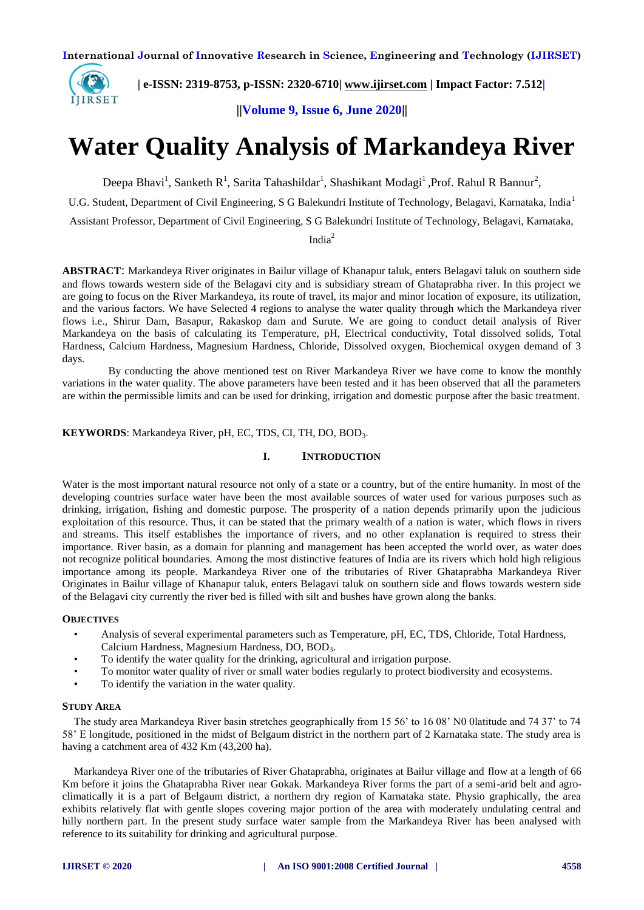

 **| e-ISSN: 2319-8753, p-ISSN: 2320-6710| [www.ijirset.com](http://www.ijirset.com/) | Impact Factor: 7.512|**

**||Volume 9, Issue 6, June 2020||** 

# **Water Quality Analysis of Markandeya River**

Deepa Bhavi<sup>1</sup>, Sanketh R<sup>1</sup>, Sarita Tahashildar<sup>1</sup>, Shashikant Modagi<sup>1</sup>, Prof. Rahul R Bannur<sup>2</sup>,

U.G. Student, Department of Civil Engineering, S G Balekundri Institute of Technology, Belagavi, Karnataka, India<sup>1</sup>

Assistant Professor, Department of Civil Engineering, S G Balekundri Institute of Technology, Belagavi, Karnataka,

India<sup>2</sup>

**ABSTRACT**: Markandeya River originates in Bailur village of Khanapur taluk, enters Belagavi taluk on southern side and flows towards western side of the Belagavi city and is subsidiary stream of Ghataprabha river. In this project we are going to focus on the River Markandeya, its route of travel, its major and minor location of exposure, its utilization, and the various factors. We have Selected 4 regions to analyse the water quality through which the Markandeya river flows i.e., Shirur Dam, Basapur, Rakaskop dam and Surute. We are going to conduct detail analysis of River Markandeya on the basis of calculating its Temperature, pH, Electrical conductivity, Total dissolved solids, Total Hardness, Calcium Hardness, Magnesium Hardness, Chloride, Dissolved oxygen, Biochemical oxygen demand of 3 days.

 By conducting the above mentioned test on River Markandeya River we have come to know the monthly variations in the water quality. The above parameters have been tested and it has been observed that all the parameters are within the permissible limits and can be used for drinking, irrigation and domestic purpose after the basic treatment.

#### **KEYWORDS**: Markandeya River, pH, EC, TDS, CI, TH, DO, BOD3.

#### **I. INTRODUCTION**

Water is the most important natural resource not only of a state or a country, but of the entire humanity. In most of the developing countries surface water have been the most available sources of water used for various purposes such as drinking, irrigation, fishing and domestic purpose. The prosperity of a nation depends primarily upon the judicious exploitation of this resource. Thus, it can be stated that the primary wealth of a nation is water, which flows in rivers and streams. This itself establishes the importance of rivers, and no other explanation is required to stress their importance. River basin, as a domain for planning and management has been accepted the world over, as water does not recognize political boundaries. Among the most distinctive features of India are its rivers which hold high religious importance among its people. Markandeya River one of the tributaries of River Ghataprabha Markandeya River Originates in Bailur village of Khanapur taluk, enters Belagavi taluk on southern side and flows towards western side of the Belagavi city currently the river bed is filled with silt and bushes have grown along the banks.

#### **OBJECTIVES**

- Analysis of several experimental parameters such as Temperature, pH, EC, TDS, Chloride, Total Hardness, Calcium Hardness, Magnesium Hardness, DO, BOD3.
- To identify the water quality for the drinking, agricultural and irrigation purpose.
- To monitor water quality of river or small water bodies regularly to protect biodiversity and ecosystems.
- To identify the variation in the water quality.

#### **STUDY AREA**

The study area Markandeya River basin stretches geographically from 15 56' to 16 08' N0 0latitude and 74 37' to 74 58' E longitude, positioned in the midst of Belgaum district in the northern part of 2 Karnataka state. The study area is having a catchment area of 432 Km (43,200 ha).

Markandeya River one of the tributaries of River Ghataprabha, originates at Bailur village and flow at a length of 66 Km before it joins the Ghataprabha River near Gokak. Markandeya River forms the part of a semi-arid belt and agroclimatically it is a part of Belgaum district, a northern dry region of Karnataka state. Physio graphically, the area exhibits relatively flat with gentle slopes covering major portion of the area with moderately undulating central and hilly northern part. In the present study surface water sample from the Markandeya River has been analysed with reference to its suitability for drinking and agricultural purpose.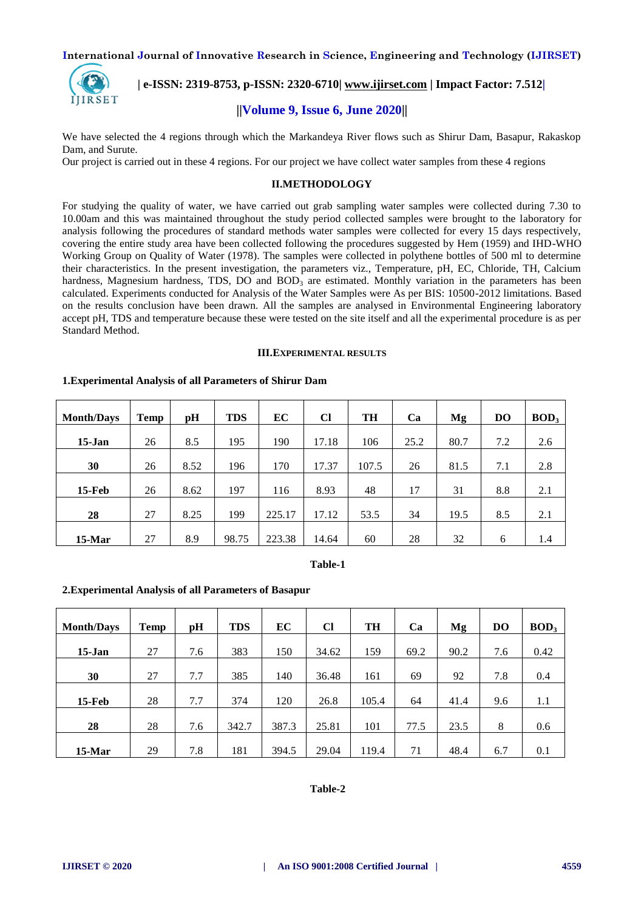

 **| e-ISSN: 2319-8753, p-ISSN: 2320-6710| [www.ijirset.com](http://www.ijirset.com/) | Impact Factor: 7.512|**

# **||Volume 9, Issue 6, June 2020||**

We have selected the 4 regions through which the Markandeya River flows such as Shirur Dam, Basapur, Rakaskop Dam, and Surute.

Our project is carried out in these 4 regions. For our project we have collect water samples from these 4 regions

#### **II.METHODOLOGY**

For studying the quality of water, we have carried out grab sampling water samples were collected during 7.30 to 10.00am and this was maintained throughout the study period collected samples were brought to the laboratory for analysis following the procedures of standard methods water samples were collected for every 15 days respectively, covering the entire study area have been collected following the procedures suggested by Hem (1959) and IHD-WHO Working Group on Quality of Water (1978). The samples were collected in polythene bottles of 500 ml to determine their characteristics. In the present investigation, the parameters viz., Temperature, pH, EC, Chloride, TH, Calcium hardness, Magnesium hardness, TDS, DO and  $BOD<sub>3</sub>$  are estimated. Monthly variation in the parameters has been calculated. Experiments conducted for Analysis of the Water Samples were As per BIS: 10500-2012 limitations. Based on the results conclusion have been drawn. All the samples are analysed in Environmental Engineering laboratory accept pH, TDS and temperature because these were tested on the site itself and all the experimental procedure is as per Standard Method.

#### **III.EXPERIMENTAL RESULTS**

# **Month/Days**  $\begin{bmatrix} \text{Temp} \end{bmatrix}$  **pH**  $\begin{bmatrix} \text{TDS} \end{bmatrix}$  **EC**  $\begin{bmatrix} \text{CI} \end{bmatrix}$  **TH**  $\begin{bmatrix} \text{Ca} \end{bmatrix}$  **Mg**  $\begin{bmatrix} \text{DO} \end{bmatrix}$  **BOD**<sub>3</sub> **15-Jan** | 26 | 8.5 | 195 | 190 | 17.18 | 106 | 25.2 | 80.7 | 7.2 | 2.6 **30** | 26 | 8.52 | 196 | 170 | 17.37 | 107.5 | 26 | 81.5 | 7.1 | 2.8 **15-Feb** | 26 | 8.62 | 197 | 116 | 8.93 | 48 | 17 | 31 | 8.8 | 2.1 **28** | 27 | 8.25 | 199 | 225.17 | 17.12 | 53.5 | 34 | 19.5 | 8.5 | 2.1 **15-Mar** | 27 | 8.9 | 98.75 | 223.38 | 14.64 | 60 | 28 | 32 | 6 | 1.4

#### **1.Experimental Analysis of all Parameters of Shirur Dam**

#### **Table-1**

#### **2.Experimental Analysis of all Parameters of Basapur**

| <b>Month/Days</b> | <b>Temp</b> | pH  | <b>TDS</b> | EC    | <b>Cl</b> | <b>TH</b> | Ca   | Mg   | <b>DO</b> | BOD <sub>3</sub> |
|-------------------|-------------|-----|------------|-------|-----------|-----------|------|------|-----------|------------------|
| $15$ -Jan         | 27          | 7.6 | 383        | 150   | 34.62     | 159       | 69.2 | 90.2 | 7.6       | 0.42             |
| 30                | 27          | 7.7 | 385        | 140   | 36.48     | 161       | 69   | 92   | 7.8       | 0.4              |
| <b>15-Feb</b>     | 28          | 7.7 | 374        | 120   | 26.8      | 105.4     | 64   | 41.4 | 9.6       | 1.1              |
| 28                | 28          | 7.6 | 342.7      | 387.3 | 25.81     | 101       | 77.5 | 23.5 | 8         | 0.6              |
| 15-Mar            | 29          | 7.8 | 181        | 394.5 | 29.04     | 119.4     | 71   | 48.4 | 6.7       | 0.1              |

#### **Table-2**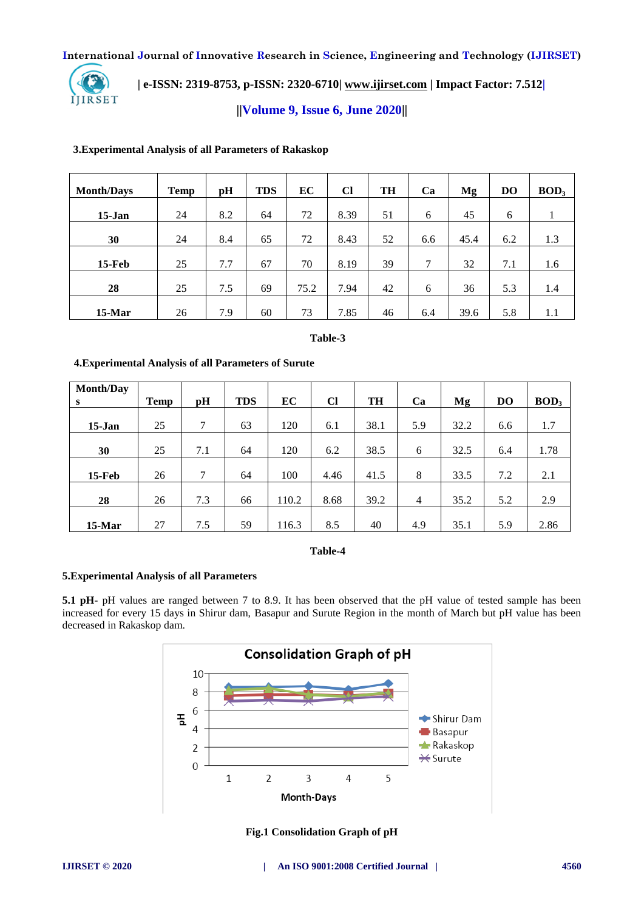

 **| e-ISSN: 2319-8753, p-ISSN: 2320-6710| [www.ijirset.com](http://www.ijirset.com/) | Impact Factor: 7.512|**

**||Volume 9, Issue 6, June 2020||** 

# **3.Experimental Analysis of all Parameters of Rakaskop**

| <b>Month/Days</b> | <b>Temp</b> | pH  | <b>TDS</b> | EC   | <b>Cl</b> | <b>TH</b> | Ca  | Mg   | <b>DO</b> | BOD <sub>3</sub> |
|-------------------|-------------|-----|------------|------|-----------|-----------|-----|------|-----------|------------------|
| $15-Jan$          | 24          | 8.2 | 64         | 72   | 8.39      | 51        | 6   | 45   | 6         |                  |
| 30                | 24          | 8.4 | 65         | 72   | 8.43      | 52        | 6.6 | 45.4 | 6.2       | 1.3              |
| $15$ -Feb         | 25          | 7.7 | 67         | 70   | 8.19      | 39        | 7   | 32   | 7.1       | 1.6              |
| 28                | 25          | 7.5 | 69         | 75.2 | 7.94      | 42        | 6   | 36   | 5.3       | 1.4              |
| 15-Mar            | 26          | 7.9 | 60         | 73   | 7.85      | 46        | 6.4 | 39.6 | 5.8       | $1.1\,$          |

### **Table-3**

# **4.Experimental Analysis of all Parameters of Surute**

| Month/Day |             |     |            |       |           |           |                |      |           |                  |
|-----------|-------------|-----|------------|-------|-----------|-----------|----------------|------|-----------|------------------|
| S         | <b>Temp</b> | pH  | <b>TDS</b> | EC    | <b>Cl</b> | <b>TH</b> | Ca             | Mg   | <b>DO</b> | BOD <sub>3</sub> |
|           |             |     |            |       |           |           |                |      |           |                  |
| $15-Jan$  | 25          | 7   | 63         | 120   | 6.1       | 38.1      | 5.9            | 32.2 | 6.6       | 1.7              |
|           |             |     |            |       |           |           |                |      |           |                  |
| 30        | 25          | 7.1 | 64         | 120   | 6.2       | 38.5      | 6              | 32.5 | 6.4       | 1.78             |
|           |             |     |            |       |           |           |                |      |           |                  |
| $15$ -Feb | 26          | 7   | 64         | 100   | 4.46      | 41.5      | 8              | 33.5 | 7.2       | 2.1              |
|           |             |     |            |       |           |           |                |      |           |                  |
| 28        | 26          | 7.3 | 66         | 110.2 | 8.68      | 39.2      | $\overline{4}$ | 35.2 | 5.2       | 2.9              |
|           |             |     |            |       |           |           |                |      |           |                  |
| $15-Mar$  | 27          | 7.5 | 59         | 116.3 | 8.5       | 40        | 4.9            | 35.1 | 5.9       | 2.86             |

**Table-4**

#### **5.Experimental Analysis of all Parameters**

**5.1 pH-** pH values are ranged between 7 to 8.9. It has been observed that the pH value of tested sample has been increased for every 15 days in Shirur dam, Basapur and Surute Region in the month of March but pH value has been decreased in Rakaskop dam.



**Fig.1 Consolidation Graph of pH**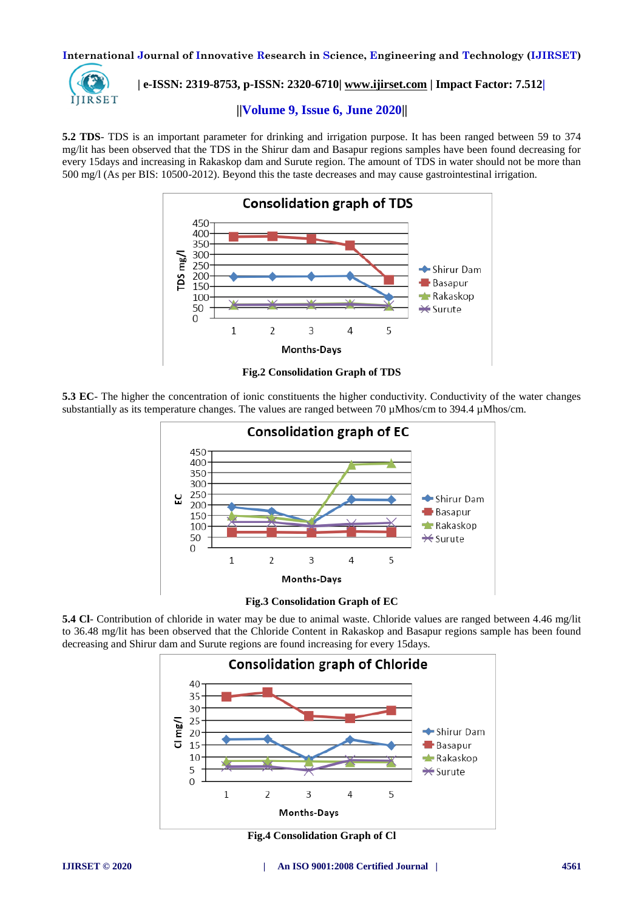

 **| e-ISSN: 2319-8753, p-ISSN: 2320-6710| [www.ijirset.com](http://www.ijirset.com/) | Impact Factor: 7.512|**

# **||Volume 9, Issue 6, June 2020||**

**5.2 TDS**- TDS is an important parameter for drinking and irrigation purpose. It has been ranged between 59 to 374 mg/lit has been observed that the TDS in the Shirur dam and Basapur regions samples have been found decreasing for every 15days and increasing in Rakaskop dam and Surute region. The amount of TDS in water should not be more than 500 mg/l (As per BIS: 10500-2012). Beyond this the taste decreases and may cause gastrointestinal irrigation.



**Fig.2 Consolidation Graph of TDS**

**5.3 EC**- The higher the concentration of ionic constituents the higher conductivity. Conductivity of the water changes substantially as its temperature changes. The values are ranged between 70  $\mu$ Mhos/cm to 394.4  $\mu$ Mhos/cm.



**Fig.3 Consolidation Graph of EC**

**5.4 Cl**- Contribution of chloride in water may be due to animal waste. Chloride values are ranged between 4.46 mg/lit to 36.48 mg/lit has been observed that the Chloride Content in Rakaskop and Basapur regions sample has been found decreasing and Shirur dam and Surute regions are found increasing for every 15days.



**Fig.4 Consolidation Graph of Cl**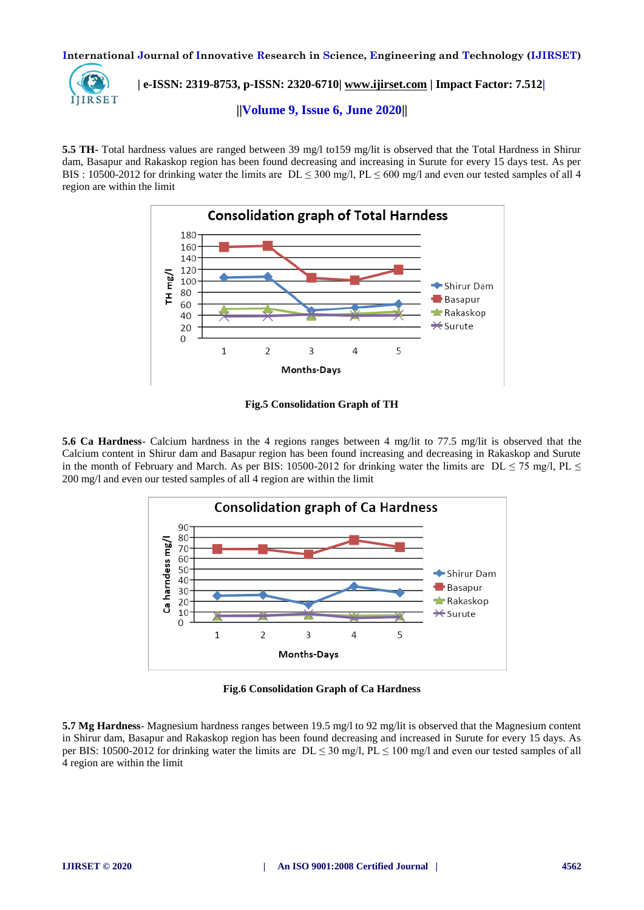

 **| e-ISSN: 2319-8753, p-ISSN: 2320-6710| [www.ijirset.com](http://www.ijirset.com/) | Impact Factor: 7.512|**

**||Volume 9, Issue 6, June 2020||** 

**5.5 TH-** Total hardness values are ranged between 39 mg/l to159 mg/lit is observed that the Total Hardness in Shirur dam, Basapur and Rakaskop region has been found decreasing and increasing in Surute for every 15 days test. As per BIS : 10500-2012 for drinking water the limits are  $DL \le 300$  mg/l,  $PL \le 600$  mg/l and even our tested samples of all 4 region are within the limit



**Fig.5 Consolidation Graph of TH**

**5.6 Ca Hardness**- Calcium hardness in the 4 regions ranges between 4 mg/lit to 77.5 mg/lit is observed that the Calcium content in Shirur dam and Basapur region has been found increasing and decreasing in Rakaskop and Surute in the month of February and March. As per BIS: 10500-2012 for drinking water the limits are DL  $\leq$  75 mg/l, PL  $\leq$ 200 mg/l and even our tested samples of all 4 region are within the limit



**Fig.6 Consolidation Graph of Ca Hardness**

**5.7 Mg Hardness**- Magnesium hardness ranges between 19.5 mg/l to 92 mg/lit is observed that the Magnesium content in Shirur dam, Basapur and Rakaskop region has been found decreasing and increased in Surute for every 15 days. As per BIS: 10500-2012 for drinking water the limits are  $DL \le 30$  mg/l,  $PL \le 100$  mg/l and even our tested samples of all 4 region are within the limit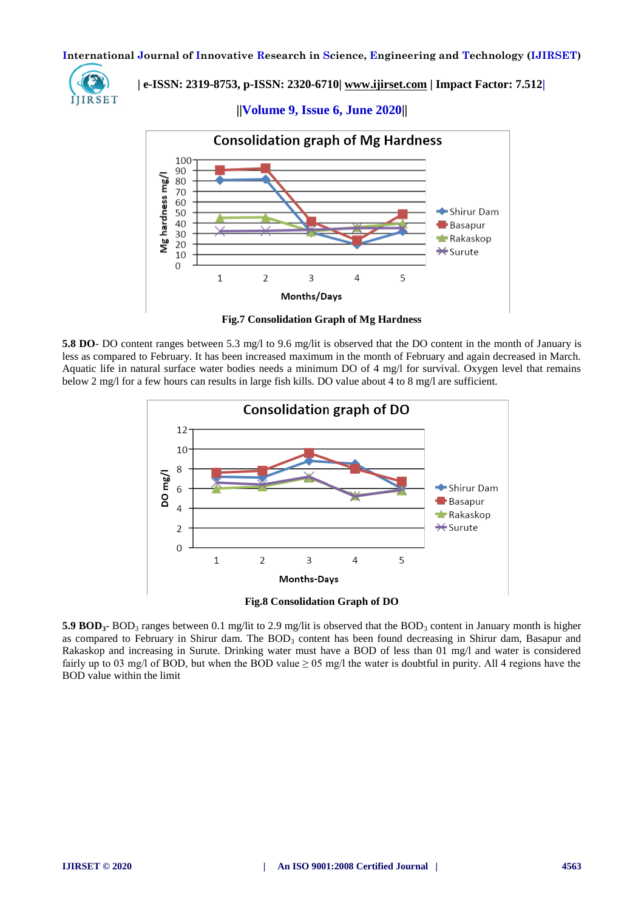

 **| e-ISSN: 2319-8753, p-ISSN: 2320-6710| [www.ijirset.com](http://www.ijirset.com/) | Impact Factor: 7.512|**

**||Volume 9, Issue 6, June 2020||** 



**Fig.7 Consolidation Graph of Mg Hardness**

**5.8 DO**- DO content ranges between 5.3 mg/l to 9.6 mg/lit is observed that the DO content in the month of January is less as compared to February. It has been increased maximum in the month of February and again decreased in March. Aquatic life in natural surface water bodies needs a minimum DO of 4 mg/l for survival. Oxygen level that remains below 2 mg/l for a few hours can results in large fish kills. DO value about 4 to 8 mg/l are sufficient.



**5.9 BOD<sub>3</sub>**- BOD<sub>3</sub> ranges between 0.1 mg/lit to 2.9 mg/lit is observed that the BOD<sub>3</sub> content in January month is higher as compared to February in Shirur dam. The  $BOD_3$  content has been found decreasing in Shirur dam, Basapur and Rakaskop and increasing in Surute. Drinking water must have a BOD of less than 01 mg/l and water is considered fairly up to 03 mg/l of BOD, but when the BOD value  $\geq$  05 mg/l the water is doubtful in purity. All 4 regions have the BOD value within the limit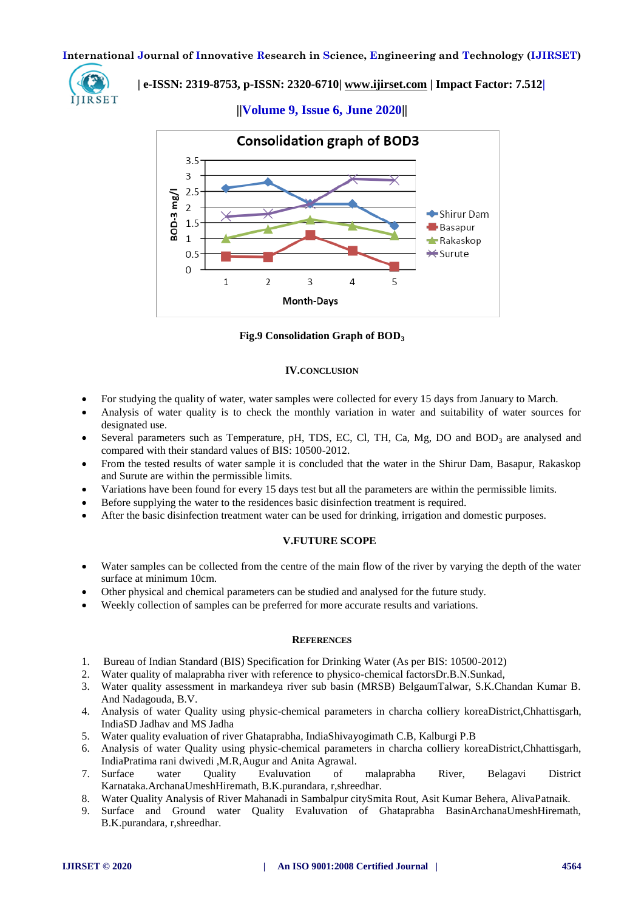

 **| e-ISSN: 2319-8753, p-ISSN: 2320-6710| [www.ijirset.com](http://www.ijirset.com/) | Impact Factor: 7.512|**

**||Volume 9, Issue 6, June 2020||** 



**Fig.9 Consolidation Graph of BOD<sup>3</sup>**

#### **IV.CONCLUSION**

- For studying the quality of water, water samples were collected for every 15 days from January to March.
- Analysis of water quality is to check the monthly variation in water and suitability of water sources for designated use.
- Several parameters such as Temperature, pH, TDS, EC, Cl, TH, Ca, Mg, DO and BOD<sub>3</sub> are analysed and compared with their standard values of BIS: 10500-2012.
- From the tested results of water sample it is concluded that the water in the Shirur Dam, Basapur, Rakaskop and Surute are within the permissible limits.
- Variations have been found for every 15 days test but all the parameters are within the permissible limits.
- Before supplying the water to the residences basic disinfection treatment is required.
- After the basic disinfection treatment water can be used for drinking, irrigation and domestic purposes.

#### **V.FUTURE SCOPE**

- Water samples can be collected from the centre of the main flow of the river by varying the depth of the water surface at minimum 10cm.
- Other physical and chemical parameters can be studied and analysed for the future study.
- Weekly collection of samples can be preferred for more accurate results and variations.

#### **REFERENCES**

- 1. Bureau of Indian Standard (BIS) Specification for Drinking Water (As per BIS: 10500-2012)
- 2. Water quality of malaprabha river with reference to physico-chemical factorsDr.B.N.Sunkad,
- 3. Water quality assessment in markandeya river sub basin (MRSB) BelgaumTalwar, S.K.Chandan Kumar B. And Nadagouda, B.V.
- 4. Analysis of water Quality using physic-chemical parameters in charcha colliery koreaDistrict,Chhattisgarh, IndiaSD Jadhav and MS Jadha
- 5. Water quality evaluation of river Ghataprabha, IndiaShivayogimath C.B, Kalburgi P.B
- 6. Analysis of water Quality using physic-chemical parameters in charcha colliery koreaDistrict,Chhattisgarh, IndiaPratima rani dwivedi ,M.R,Augur and Anita Agrawal.
- 7. Surface water Quality Evaluvation of malaprabha River, Belagavi District Karnataka.ArchanaUmeshHiremath, B.K.purandara, r,shreedhar.
- 8. Water Quality Analysis of River Mahanadi in Sambalpur citySmita Rout, Asit Kumar Behera, AlivaPatnaik.
- 9. Surface and Ground water Quality Evaluvation of Ghataprabha BasinArchanaUmeshHiremath, B.K.purandara, r,shreedhar.